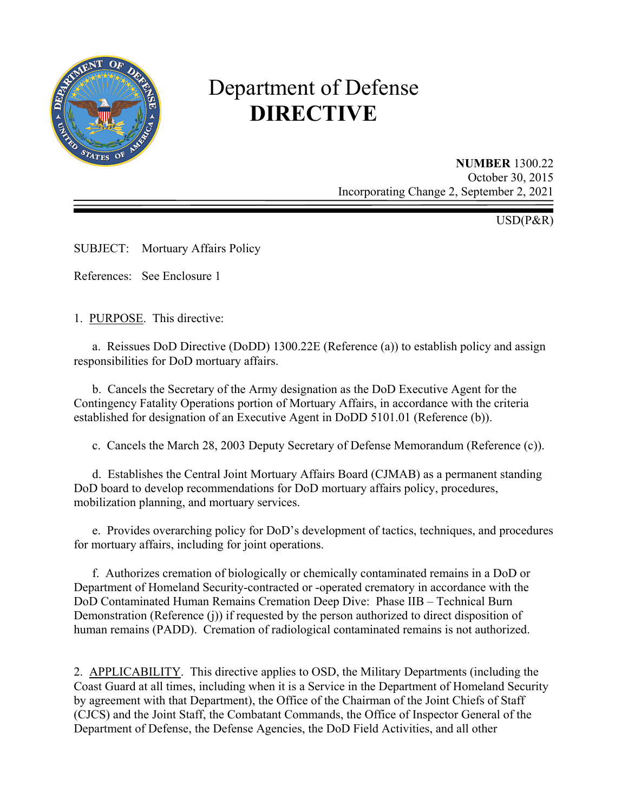

# Department of Defense **DIRECTIVE**

**NUMBER** 1300.22 October 30, 2015 Incorporating Change 2, September 2, 2021

USD(P&R)

SUBJECT: Mortuary Affairs Policy

References: See Enclosure 1

1. PURPOSE. This directive:

a. Reissues DoD Directive (DoDD) 1300.22E (Reference (a)) to establish policy and assign responsibilities for DoD mortuary affairs.

 b.Cancels the Secretary of the Army designation as the DoD Executive Agent for the Contingency Fatality Operations portion of Mortuary Affairs, in accordance with the criteria established for designation of an Executive Agent in DoDD 5101.01 (Reference (b)).

c. Cancels the March 28, 2003 Deputy Secretary of Defense Memorandum (Reference (c)).

 d.Establishes the Central Joint Mortuary Affairs Board (CJMAB) as a permanent standing DoD board to develop recommendations for DoD mortuary affairs policy, procedures, mobilization planning, and mortuary services.

e.Provides overarching policy for DoD's development of tactics, techniques, and procedures for mortuary affairs, including for joint operations.

 f. Authorizes cremation of biologically or chemically contaminated remains in a DoD or Department of Homeland Security-contracted or -operated crematory in accordance with the DoD Contaminated Human Remains Cremation Deep Dive: Phase IIB – Technical Burn Demonstration (Reference (j)) if requested by the person authorized to direct disposition of human remains (PADD). Cremation of radiological contaminated remains is not authorized.

2. APPLICABILITY. This directive applies to OSD, the Military Departments (including the Coast Guard at all times, including when it is a Service in the Department of Homeland Security by agreement with that Department), the Office of the Chairman of the Joint Chiefs of Staff (CJCS) and the Joint Staff, the Combatant Commands, the Office of Inspector General of the Department of Defense, the Defense Agencies, the DoD Field Activities, and all other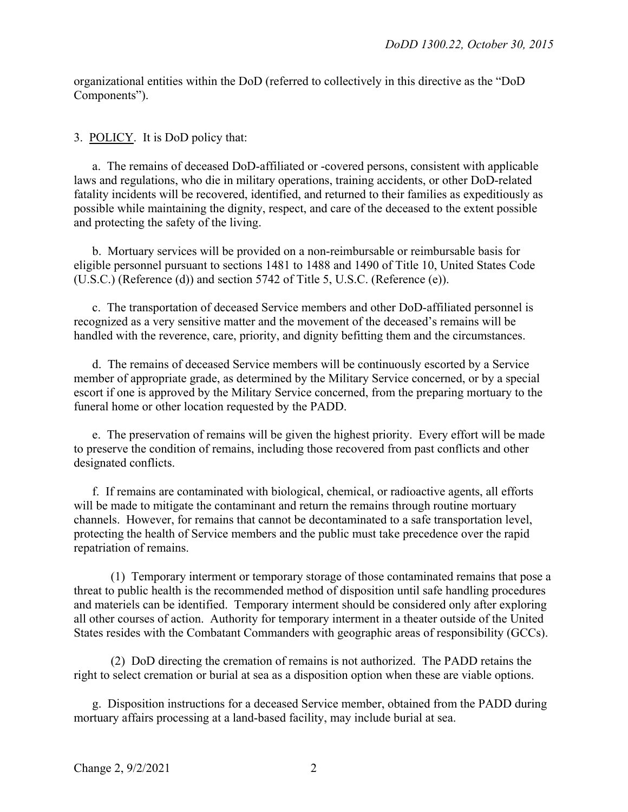organizational entities within the DoD (referred to collectively in this directive as the "DoD Components").

3. POLICY. It is DoD policy that:

 a. The remains of deceased DoD-affiliated or -covered persons, consistent with applicable laws and regulations, who die in military operations, training accidents, or other DoD-related fatality incidents will be recovered, identified, and returned to their families as expeditiously as possible while maintaining the dignity, respect, and care of the deceased to the extent possible and protecting the safety of the living.

 b. Mortuary services will be provided on a non-reimbursable or reimbursable basis for eligible personnel pursuant to sections 1481 to 1488 and 1490 of Title 10, United States Code (U.S.C.) (Reference (d)) and section 5742 of Title 5, U.S.C. (Reference (e)).

 c. The transportation of deceased Service members and other DoD-affiliated personnel is recognized as a very sensitive matter and the movement of the deceased's remains will be handled with the reverence, care, priority, and dignity befitting them and the circumstances.

 d. The remains of deceased Service members will be continuously escorted by a Service member of appropriate grade, as determined by the Military Service concerned, or by a special escort if one is approved by the Military Service concerned, from the preparing mortuary to the funeral home or other location requested by the PADD.

 e. The preservation of remains will be given the highest priority. Every effort will be made to preserve the condition of remains, including those recovered from past conflicts and other designated conflicts.

 f. If remains are contaminated with biological, chemical, or radioactive agents, all efforts will be made to mitigate the contaminant and return the remains through routine mortuary channels. However, for remains that cannot be decontaminated to a safe transportation level, protecting the health of Service members and the public must take precedence over the rapid repatriation of remains.

 (1) Temporary interment or temporary storage of those contaminated remains that pose a threat to public health is the recommended method of disposition until safe handling procedures and materiels can be identified. Temporary interment should be considered only after exploring all other courses of action. Authority for temporary interment in a theater outside of the United States resides with the Combatant Commanders with geographic areas of responsibility (GCCs).

 (2) DoD directing the cremation of remains is not authorized. The PADD retains the right to select cremation or burial at sea as a disposition option when these are viable options.

 g. Disposition instructions for a deceased Service member, obtained from the PADD during mortuary affairs processing at a land-based facility, may include burial at sea.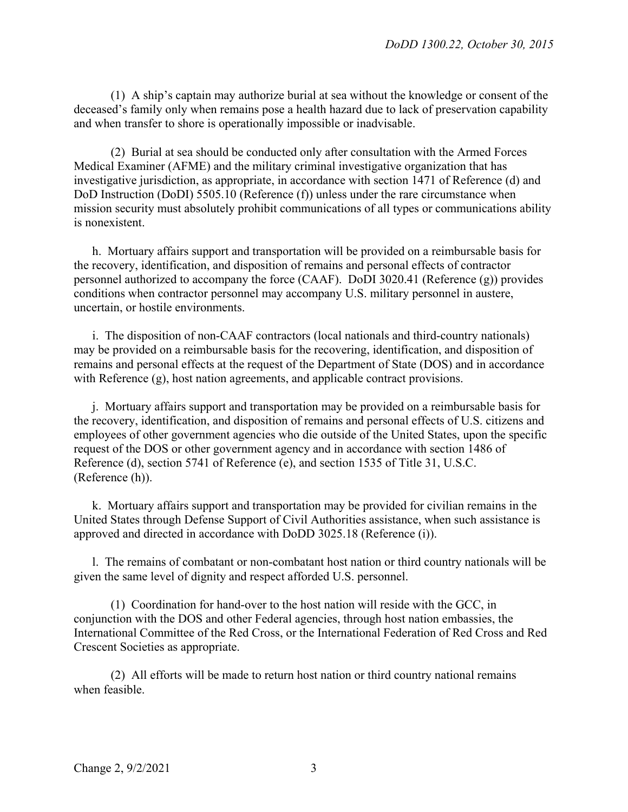(1) A ship's captain may authorize burial at sea without the knowledge or consent of the deceased's family only when remains pose a health hazard due to lack of preservation capability and when transfer to shore is operationally impossible or inadvisable.

 (2) Burial at sea should be conducted only after consultation with the Armed Forces Medical Examiner (AFME) and the military criminal investigative organization that has investigative jurisdiction, as appropriate, in accordance with section 1471 of Reference (d) and DoD Instruction (DoDI) 5505.10 (Reference (f)) unless under the rare circumstance when mission security must absolutely prohibit communications of all types or communications ability is nonexistent.

 h. Mortuary affairs support and transportation will be provided on a reimbursable basis for the recovery, identification, and disposition of remains and personal effects of contractor personnel authorized to accompany the force (CAAF). DoDI 3020.41 (Reference (g)) provides conditions when contractor personnel may accompany U.S. military personnel in austere, uncertain, or hostile environments.

 i. The disposition of non-CAAF contractors (local nationals and third-country nationals) may be provided on a reimbursable basis for the recovering, identification, and disposition of remains and personal effects at the request of the Department of State (DOS) and in accordance with Reference (g), host nation agreements, and applicable contract provisions.

 j. Mortuary affairs support and transportation may be provided on a reimbursable basis for the recovery, identification, and disposition of remains and personal effects of U.S. citizens and employees of other government agencies who die outside of the United States, upon the specific request of the DOS or other government agency and in accordance with section 1486 of Reference (d), section 5741 of Reference (e), and section 1535 of Title 31, U.S.C. (Reference (h)).

 k. Mortuary affairs support and transportation may be provided for civilian remains in the United States through Defense Support of Civil Authorities assistance, when such assistance is approved and directed in accordance with DoDD 3025.18 (Reference (i)).

 l. The remains of combatant or non-combatant host nation or third country nationals will be given the same level of dignity and respect afforded U.S. personnel.

 (1) Coordination for hand-over to the host nation will reside with the GCC, in conjunction with the DOS and other Federal agencies, through host nation embassies, the International Committee of the Red Cross, or the International Federation of Red Cross and Red Crescent Societies as appropriate.

 (2) All efforts will be made to return host nation or third country national remains when feasible.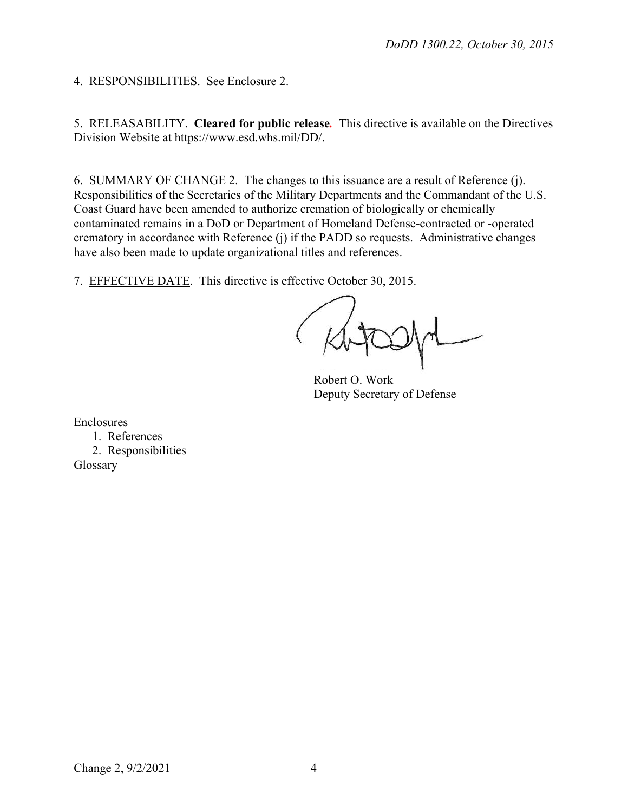4. RESPONSIBILITIES. See Enclosure 2.

5. RELEASABILITY. **Cleared for public release***.* This directive is available on the Directives Division Website at https://www.esd.whs.mil/DD/.

6. SUMMARY OF CHANGE 2. The changes to this issuance are a result of Reference (j). Responsibilities of the Secretaries of the Military Departments and the Commandant of the U.S. Coast Guard have been amended to authorize cremation of biologically or chemically contaminated remains in a DoD or Department of Homeland Defense-contracted or -operated crematory in accordance with Reference (j) if the PADD so requests. Administrative changes have also been made to update organizational titles and references.

7. EFFECTIVE DATE. This directive is effective October 30, 2015.

Robert O. Work Deputy Secretary of Defense

Enclosures

1. References 2. Responsibilities Glossary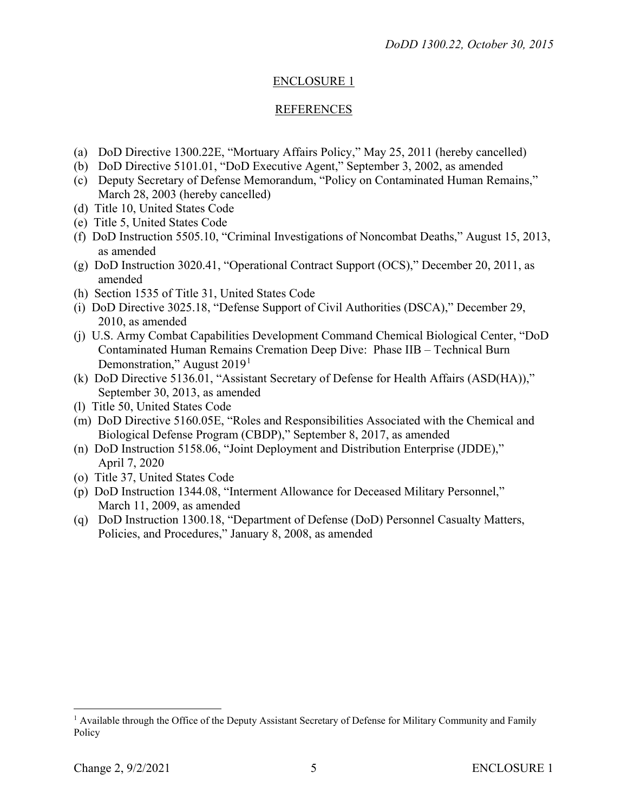## ENCLOSURE 1

## REFERENCES

- (a) DoD Directive 1300.22E, "Mortuary Affairs Policy," May 25, 2011 (hereby cancelled)
- (b) DoD Directive 5101.01, "DoD Executive Agent," September 3, 2002, as amended
- (c) Deputy Secretary of Defense Memorandum, "Policy on Contaminated Human Remains," March 28, 2003 (hereby cancelled)
- (d) Title 10, United States Code
- (e) Title 5, United States Code
- (f) DoD Instruction 5505.10, "Criminal Investigations of Noncombat Deaths," August 15, 2013, as amended
- (g) DoD Instruction 3020.41, "Operational Contract Support (OCS)," December 20, 2011, as amended
- (h) Section 1535 of Title 31, United States Code
- (i) DoD Directive 3025.18, "Defense Support of Civil Authorities (DSCA)," December 29, 2010, as amended
- (j) U.S. Army Combat Capabilities Development Command Chemical Biological Center, "DoD Contaminated Human Remains Cremation Deep Dive: Phase IIB – Technical Burn Demonstration," August 20[1](#page-4-0)9<sup>1</sup>
- (k) DoD Directive 5136.01, "Assistant Secretary of Defense for Health Affairs (ASD(HA))," September 30, 2013, as amended
- (l) Title 50, United States Code
- (m) DoD Directive 5160.05E, "Roles and Responsibilities Associated with the Chemical and Biological Defense Program (CBDP)," September 8, 2017, as amended
- (n) DoD Instruction 5158.06, "Joint Deployment and Distribution Enterprise (JDDE)," April 7, 2020
- (o) Title 37, United States Code
- (p) DoD Instruction 1344.08, "Interment Allowance for Deceased Military Personnel," March 11, 2009, as amended
- (q) DoD Instruction 1300.18, "Department of Defense (DoD) Personnel Casualty Matters, Policies, and Procedures," January 8, 2008, as amended

 $\overline{a}$ 

<span id="page-4-0"></span><sup>&</sup>lt;sup>1</sup> Available through the Office of the Deputy Assistant Secretary of Defense for Military Community and Family Policy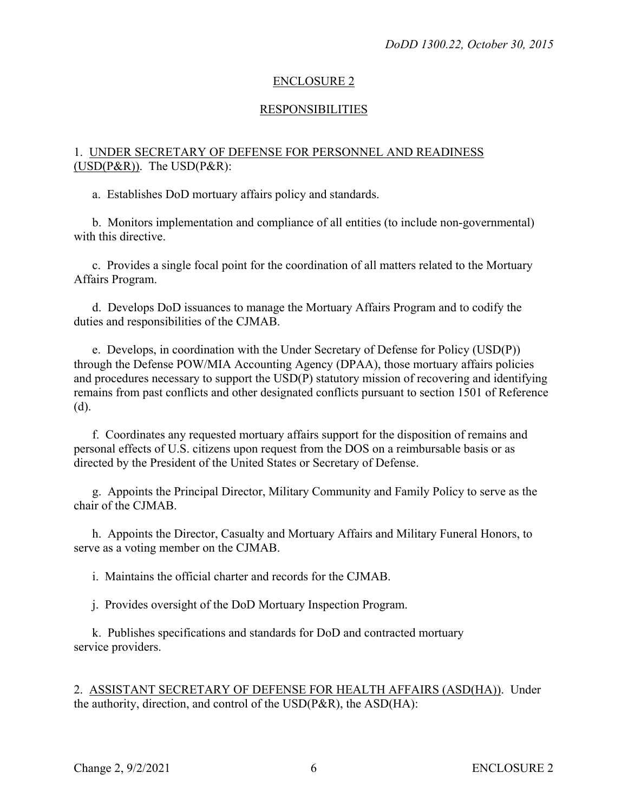## ENCLOSURE 2

#### RESPONSIBILITIES

#### 1. UNDER SECRETARY OF DEFENSE FOR PERSONNEL AND READINESS  $(USD(P&R))$ . The  $USD(P&R)$ :

a. Establishes DoD mortuary affairs policy and standards.

 b. Monitors implementation and compliance of all entities (to include non-governmental) with this directive.

 c. Provides a single focal point for the coordination of all matters related to the Mortuary Affairs Program.

 d. Develops DoD issuances to manage the Mortuary Affairs Program and to codify the duties and responsibilities of the CJMAB.

 e. Develops, in coordination with the Under Secretary of Defense for Policy (USD(P)) through the Defense POW/MIA Accounting Agency (DPAA), those mortuary affairs policies and procedures necessary to support the USD(P) statutory mission of recovering and identifying remains from past conflicts and other designated conflicts pursuant to section 1501 of Reference (d).

 f. Coordinates any requested mortuary affairs support for the disposition of remains and personal effects of U.S. citizens upon request from the DOS on a reimbursable basis or as directed by the President of the United States or Secretary of Defense.

 g. Appoints the Principal Director, Military Community and Family Policy to serve as the chair of the CJMAB.

 h. Appoints the Director, Casualty and Mortuary Affairs and Military Funeral Honors, to serve as a voting member on the CJMAB.

i. Maintains the official charter and records for the CJMAB.

j. Provides oversight of the DoD Mortuary Inspection Program.

 k. Publishes specifications and standards for DoD and contracted mortuary service providers.

2. ASSISTANT SECRETARY OF DEFENSE FOR HEALTH AFFAIRS (ASD(HA)). Under the authority, direction, and control of the USD(P&R), the ASD(HA):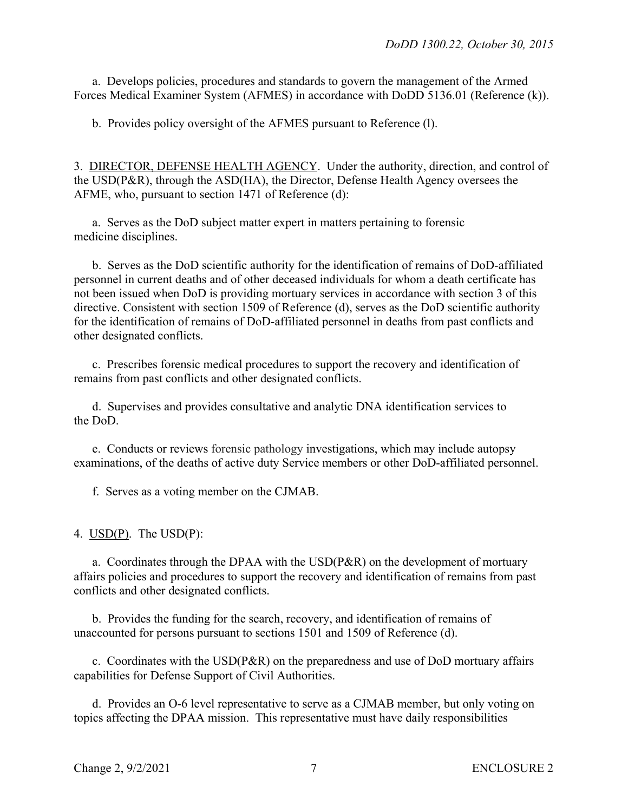a. Develops policies, procedures and standards to govern the management of the Armed Forces Medical Examiner System (AFMES) in accordance with DoDD 5136.01 (Reference (k)).

b. Provides policy oversight of the AFMES pursuant to Reference (l).

3. DIRECTOR, DEFENSE HEALTH AGENCY. Under the authority, direction, and control of the USD(P&R), through the ASD(HA), the Director, Defense Health Agency oversees the AFME, who, pursuant to section 1471 of Reference (d):

a. Serves as the DoD subject matter expert in matters pertaining to forensic medicine disciplines.

 b. Serves as the DoD scientific authority for the identification of remains of DoD-affiliated personnel in current deaths and of other deceased individuals for whom a death certificate has not been issued when DoD is providing mortuary services in accordance with section 3 of this directive. Consistent with section 1509 of Reference (d), serves as the DoD scientific authority for the identification of remains of DoD-affiliated personnel in deaths from past conflicts and other designated conflicts.

 c. Prescribes forensic medical procedures to support the recovery and identification of remains from past conflicts and other designated conflicts.

 d. Supervises and provides consultative and analytic DNA identification services to the DoD.

 e. Conducts or reviews forensic pathology investigations, which may include autopsy examinations, of the deaths of active duty Service members or other DoD-affiliated personnel.

f. Serves as a voting member on the CJMAB.

4.  $USD(P)$ . The  $USD(P)$ :</u>

a. Coordinates through the DPAA with the USD(P&R) on the development of mortuary affairs policies and procedures to support the recovery and identification of remains from past conflicts and other designated conflicts.

 b. Provides the funding for the search, recovery, and identification of remains of unaccounted for persons pursuant to sections 1501 and 1509 of Reference (d).

 c. Coordinates with the USD(P&R) on the preparedness and use of DoD mortuary affairs capabilities for Defense Support of Civil Authorities.

 d. Provides an O-6 level representative to serve as a CJMAB member, but only voting on topics affecting the DPAA mission. This representative must have daily responsibilities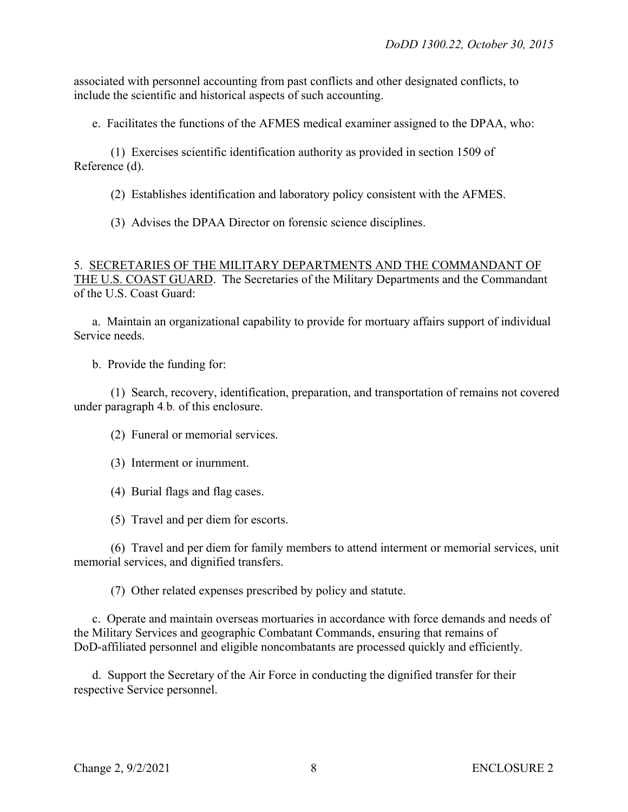associated with personnel accounting from past conflicts and other designated conflicts, to include the scientific and historical aspects of such accounting.

e. Facilitates the functions of the AFMES medical examiner assigned to the DPAA, who:

 (1) Exercises scientific identification authority as provided in section 1509 of Reference (d).

(2) Establishes identification and laboratory policy consistent with the AFMES.

(3) Advises the DPAA Director on forensic science disciplines.

#### 5. SECRETARIES OF THE MILITARY DEPARTMENTS AND THE COMMANDANT OF THE U.S. COAST GUARD. The Secretaries of the Military Departments and the Commandant of the U.S. Coast Guard:

 a. Maintain an organizational capability to provide for mortuary affairs support of individual Service needs.

b. Provide the funding for:

(1) Search, recovery, identification, preparation, and transportation of remains not covered under paragraph 4*.*b*.* of this enclosure.

(2) Funeral or memorial services.

(3) Interment or inurnment.

- (4) Burial flags and flag cases.
- (5) Travel and per diem for escorts.

(6) Travel and per diem for family members to attend interment or memorial services, unit memorial services, and dignified transfers.

(7) Other related expenses prescribed by policy and statute.

 c. Operate and maintain overseas mortuaries in accordance with force demands and needs of the Military Services and geographic Combatant Commands, ensuring that remains of DoD-affiliated personnel and eligible noncombatants are processed quickly and efficiently.

 d. Support the Secretary of the Air Force in conducting the dignified transfer for their respective Service personnel.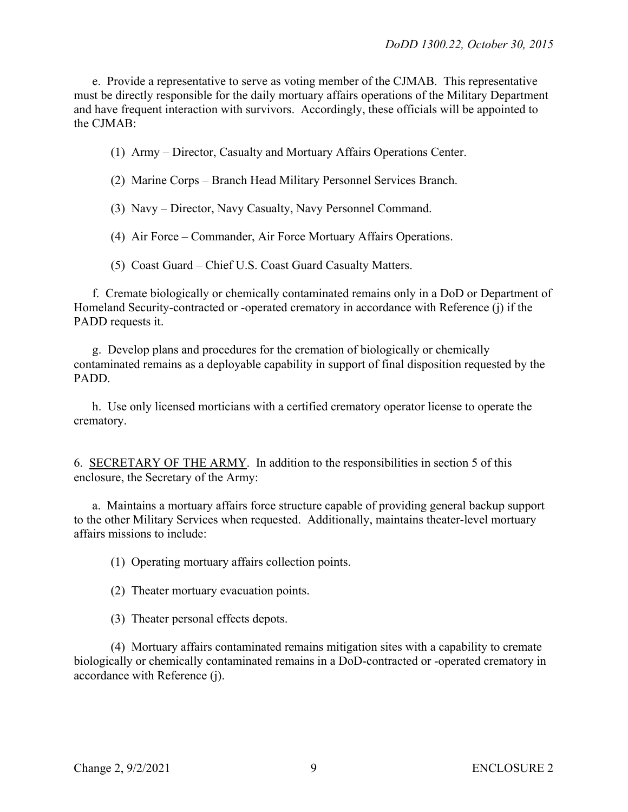e. Provide a representative to serve as voting member of the CJMAB. This representative must be directly responsible for the daily mortuary affairs operations of the Military Department and have frequent interaction with survivors. Accordingly, these officials will be appointed to the CJMAB:

- (1) Army Director, Casualty and Mortuary Affairs Operations Center.
- (2) Marine Corps Branch Head Military Personnel Services Branch.
- (3) Navy Director, Navy Casualty, Navy Personnel Command.
- (4) Air Force Commander, Air Force Mortuary Affairs Operations.
- (5) Coast Guard Chief U.S. Coast Guard Casualty Matters.

f. Cremate biologically or chemically contaminated remains only in a DoD or Department of Homeland Security-contracted or -operated crematory in accordance with Reference (j) if the PADD requests it.

g. Develop plans and procedures for the cremation of biologically or chemically contaminated remains as a deployable capability in support of final disposition requested by the PADD.

h. Use only licensed morticians with a certified crematory operator license to operate the crematory.

6. SECRETARY OF THE ARMY. In addition to the responsibilities in section 5 of this enclosure, the Secretary of the Army:

 a. Maintains a mortuary affairs force structure capable of providing general backup support to the other Military Services when requested. Additionally, maintains theater-level mortuary affairs missions to include:

(1) Operating mortuary affairs collection points.

(2) Theater mortuary evacuation points.

(3) Theater personal effects depots.

(4) Mortuary affairs contaminated remains mitigation sites with a capability to cremate biologically or chemically contaminated remains in a DoD-contracted or -operated crematory in accordance with Reference (j).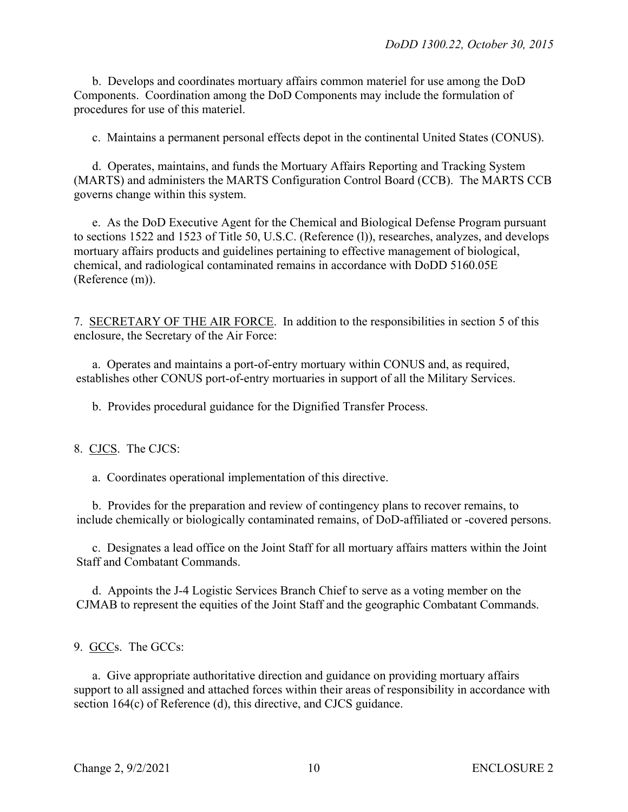b. Develops and coordinates mortuary affairs common materiel for use among the DoD Components. Coordination among the DoD Components may include the formulation of procedures for use of this materiel.

c. Maintains a permanent personal effects depot in the continental United States (CONUS).

 d. Operates, maintains, and funds the Mortuary Affairs Reporting and Tracking System (MARTS) and administers the MARTS Configuration Control Board (CCB). The MARTS CCB governs change within this system.

 e. As the DoD Executive Agent for the Chemical and Biological Defense Program pursuant to sections 1522 and 1523 of Title 50, U.S.C. (Reference (l)), researches, analyzes, and develops mortuary affairs products and guidelines pertaining to effective management of biological, chemical, and radiological contaminated remains in accordance with DoDD 5160.05E (Reference (m)).

7. SECRETARY OF THE AIR FORCE. In addition to the responsibilities in section 5 of this enclosure, the Secretary of the Air Force:

 a. Operates and maintains a port-of-entry mortuary within CONUS and, as required, establishes other CONUS port-of-entry mortuaries in support of all the Military Services.

b. Provides procedural guidance for the Dignified Transfer Process.

8. CJCS. The CJCS:

a. Coordinates operational implementation of this directive.

 b. Provides for the preparation and review of contingency plans to recover remains, to include chemically or biologically contaminated remains, of DoD-affiliated or -covered persons.

c. Designates a lead office on the Joint Staff for all mortuary affairs matters within the Joint Staff and Combatant Commands.

 d. Appoints the J-4 Logistic Services Branch Chief to serve as a voting member on the CJMAB to represent the equities of the Joint Staff and the geographic Combatant Commands.

9. GCCs. The GCCs:

 a. Give appropriate authoritative direction and guidance on providing mortuary affairs support to all assigned and attached forces within their areas of responsibility in accordance with section 164(c) of [Reference \(d\),](http://www.dtic.mil/whs/directives/corres/html2/d130022x.htm#cr10) this directive, and CJCS guidance.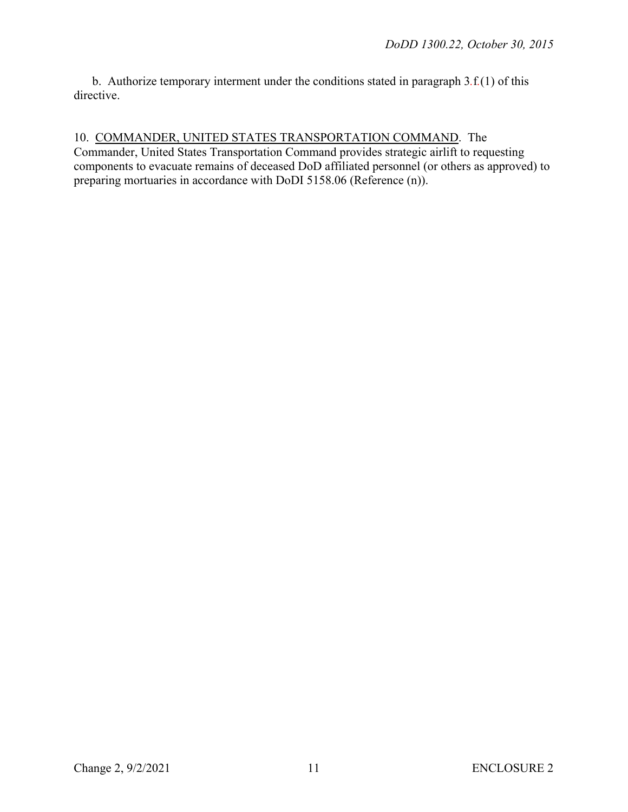b. Authorize temporary interment under the conditions stated in paragraph 3*.*f*.*(1) of this directive.

# 10.COMMANDER, UNITED STATES TRANSPORTATION COMMAND. The

Commander, United States Transportation Command provides strategic airlift to requesting components to evacuate remains of deceased DoD affiliated personnel (or others as approved) to preparing mortuaries in accordance with DoDI 5158.06 (Reference (n)).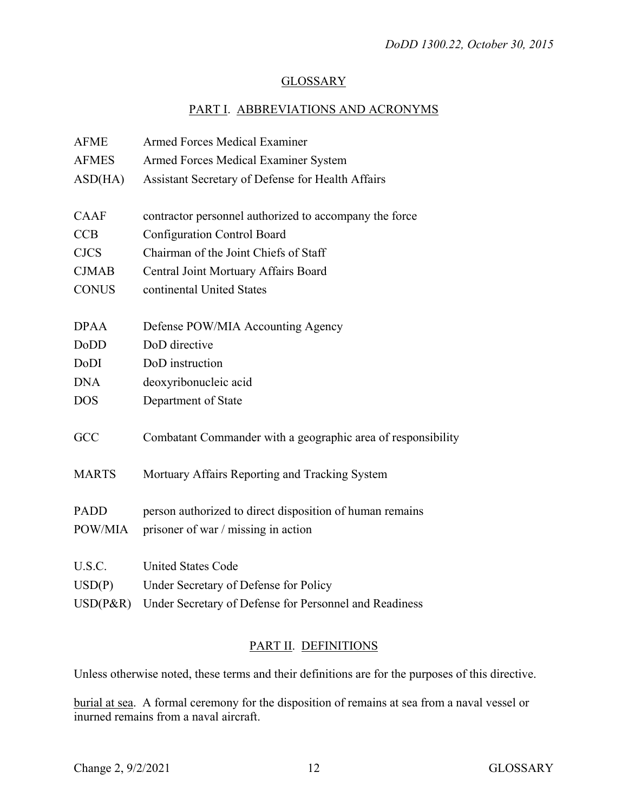## **GLOSSARY**

## PART I. ABBREVIATIONS AND ACRONYMS

| <b>AFME</b>  | <b>Armed Forces Medical Examiner</b>                         |
|--------------|--------------------------------------------------------------|
| <b>AFMES</b> | <b>Armed Forces Medical Examiner System</b>                  |
| ASD(HA)      | Assistant Secretary of Defense for Health Affairs            |
|              |                                                              |
| <b>CAAF</b>  | contractor personnel authorized to accompany the force       |
| CCB          | <b>Configuration Control Board</b>                           |
| <b>CJCS</b>  | Chairman of the Joint Chiefs of Staff                        |
| <b>CJMAB</b> | Central Joint Mortuary Affairs Board                         |
| <b>CONUS</b> | continental United States                                    |
|              |                                                              |
| <b>DPAA</b>  | Defense POW/MIA Accounting Agency                            |
| DoDD         | DoD directive                                                |
| DoDI         | DoD instruction                                              |
| <b>DNA</b>   | deoxyribonucleic acid                                        |
| <b>DOS</b>   | Department of State                                          |
|              |                                                              |
| GCC          | Combatant Commander with a geographic area of responsibility |
|              |                                                              |
| <b>MARTS</b> | Mortuary Affairs Reporting and Tracking System               |
|              |                                                              |
| <b>PADD</b>  | person authorized to direct disposition of human remains     |
| POW/MIA      | prisoner of war / missing in action                          |
|              |                                                              |
| U.S.C.       | <b>United States Code</b>                                    |
| USD(P)       | Under Secretary of Defense for Policy                        |
| $USD(P\&R)$  | Under Secretary of Defense for Personnel and Readiness       |

# PART II. DEFINITIONS

Unless otherwise noted, these terms and their definitions are for the purposes of this directive.

burial at sea. A formal ceremony for the disposition of remains at sea from a naval vessel or inurned remains from a naval aircraft.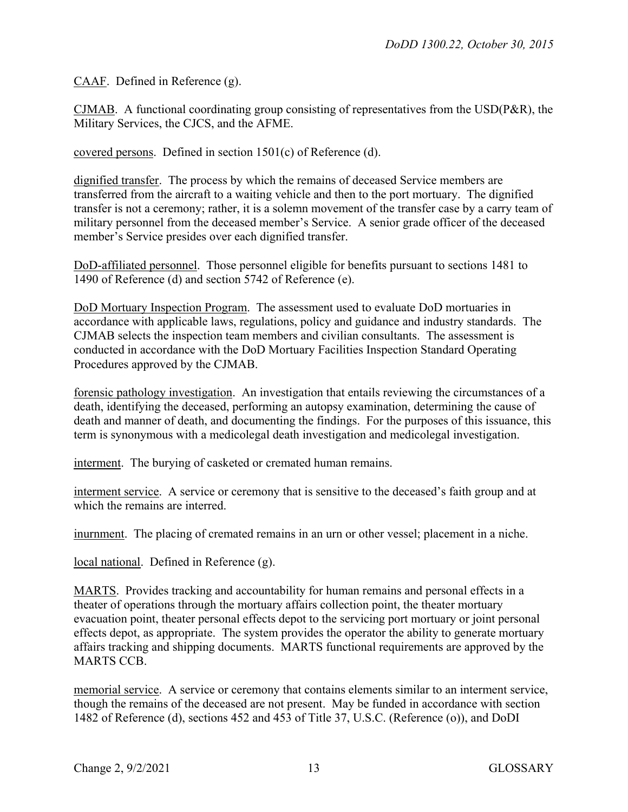CAAF. Defined in Reference (g).

CJMAB. A functional coordinating group consisting of representatives from the USD(P&R), the Military Services, the CJCS, and the AFME.

covered persons. Defined in section 1501(c) of Reference (d).

dignified transfer. The process by which the remains of deceased Service members are transferred from the aircraft to a waiting vehicle and then to the port mortuary. The dignified transfer is not a ceremony; rather, it is a solemn movement of the transfer case by a carry team of military personnel from the deceased member's Service. A senior grade officer of the deceased member's Service presides over each dignified transfer.

DoD-affiliated personnel. Those personnel eligible for benefits pursuant to sections 1481 to 1490 of Reference (d) and section 5742 of Reference (e).

DoD Mortuary Inspection Program. The assessment used to evaluate DoD mortuaries in accordance with applicable laws, regulations, policy and guidance and industry standards. The CJMAB selects the inspection team members and civilian consultants. The assessment is conducted in accordance with the DoD Mortuary Facilities Inspection Standard Operating Procedures approved by the CJMAB.

forensic pathology investigation. An investigation that entails reviewing the circumstances of a death, identifying the deceased, performing an autopsy examination, determining the cause of death and manner of death, and documenting the findings. For the purposes of this issuance, this term is synonymous with a medicolegal death investigation and medicolegal investigation.

interment. The burying of casketed or cremated human remains.

interment service. A service or ceremony that is sensitive to the deceased's faith group and at which the remains are interred.

inurnment. The placing of cremated remains in an urn or other vessel; placement in a niche.

local national. Defined in Reference (g).

MARTS. Provides tracking and accountability for human remains and personal effects in a theater of operations through the mortuary affairs collection point, the theater mortuary evacuation point, theater personal effects depot to the servicing port mortuary or joint personal effects depot, as appropriate. The system provides the operator the ability to generate mortuary affairs tracking and shipping documents. MARTS functional requirements are approved by the MARTS CCB.

memorial service. A service or ceremony that contains elements similar to an interment service, though the remains of the deceased are not present. May be funded in accordance with section 1482 of Reference (d), sections 452 and 453 of Title 37, U.S.C. (Reference (o)), and DoDI